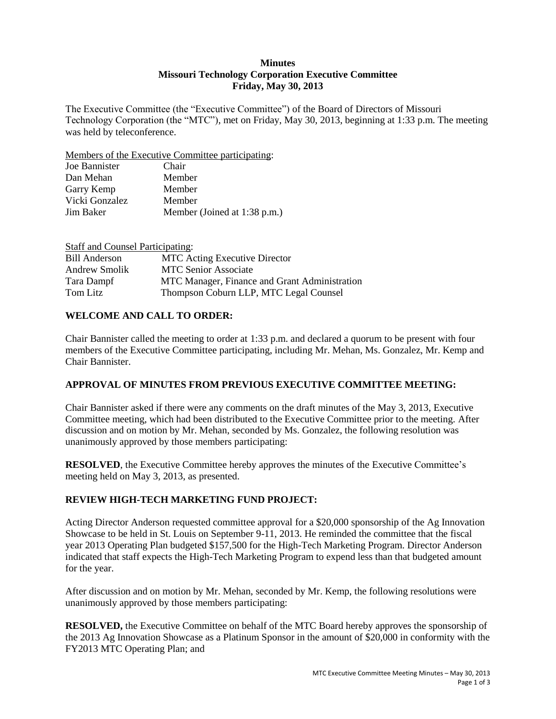#### **Minutes Missouri Technology Corporation Executive Committee Friday, May 30, 2013**

The Executive Committee (the "Executive Committee") of the Board of Directors of Missouri Technology Corporation (the "MTC"), met on Friday, May 30, 2013, beginning at 1:33 p.m. The meeting was held by teleconference.

Members of the Executive Committee participating:

| Chair                        |
|------------------------------|
| Member                       |
| Member                       |
| Member                       |
| Member (Joined at 1:38 p.m.) |
|                              |

| <b>Staff and Counsel Participating:</b> |                                               |
|-----------------------------------------|-----------------------------------------------|
| <b>Bill Anderson</b>                    | <b>MTC</b> Acting Executive Director          |
| Andrew Smolik                           | <b>MTC Senior Associate</b>                   |
| Tara Dampf                              | MTC Manager, Finance and Grant Administration |
| Tom Litz                                | Thompson Coburn LLP, MTC Legal Counsel        |

### **WELCOME AND CALL TO ORDER:**

Chair Bannister called the meeting to order at 1:33 p.m. and declared a quorum to be present with four members of the Executive Committee participating, including Mr. Mehan, Ms. Gonzalez, Mr. Kemp and Chair Bannister.

### **APPROVAL OF MINUTES FROM PREVIOUS EXECUTIVE COMMITTEE MEETING:**

Chair Bannister asked if there were any comments on the draft minutes of the May 3, 2013, Executive Committee meeting, which had been distributed to the Executive Committee prior to the meeting. After discussion and on motion by Mr. Mehan, seconded by Ms. Gonzalez, the following resolution was unanimously approved by those members participating:

**RESOLVED**, the Executive Committee hereby approves the minutes of the Executive Committee's meeting held on May 3, 2013, as presented.

## **REVIEW HIGH-TECH MARKETING FUND PROJECT:**

Acting Director Anderson requested committee approval for a \$20,000 sponsorship of the Ag Innovation Showcase to be held in St. Louis on September 9-11, 2013. He reminded the committee that the fiscal year 2013 Operating Plan budgeted \$157,500 for the High-Tech Marketing Program. Director Anderson indicated that staff expects the High-Tech Marketing Program to expend less than that budgeted amount for the year.

After discussion and on motion by Mr. Mehan, seconded by Mr. Kemp, the following resolutions were unanimously approved by those members participating:

**RESOLVED,** the Executive Committee on behalf of the MTC Board hereby approves the sponsorship of the 2013 Ag Innovation Showcase as a Platinum Sponsor in the amount of \$20,000 in conformity with the FY2013 MTC Operating Plan; and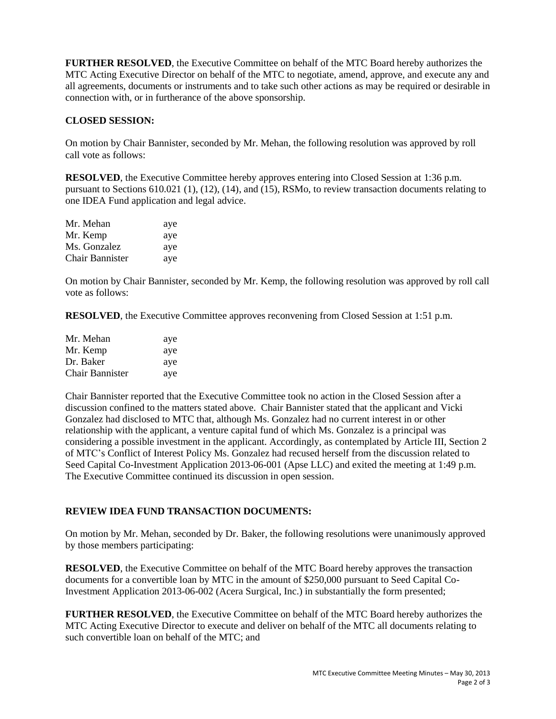**FURTHER RESOLVED**, the Executive Committee on behalf of the MTC Board hereby authorizes the MTC Acting Executive Director on behalf of the MTC to negotiate, amend, approve, and execute any and all agreements, documents or instruments and to take such other actions as may be required or desirable in connection with, or in furtherance of the above sponsorship.

# **CLOSED SESSION:**

On motion by Chair Bannister, seconded by Mr. Mehan, the following resolution was approved by roll call vote as follows:

**RESOLVED**, the Executive Committee hereby approves entering into Closed Session at 1:36 p.m. pursuant to Sections 610.021 (1), (12), (14), and (15), RSMo, to review transaction documents relating to one IDEA Fund application and legal advice.

| Mr. Mehan              | aye |
|------------------------|-----|
| Mr. Kemp               | aye |
| Ms. Gonzalez           | aye |
| <b>Chair Bannister</b> | aye |

On motion by Chair Bannister, seconded by Mr. Kemp, the following resolution was approved by roll call vote as follows:

**RESOLVED**, the Executive Committee approves reconvening from Closed Session at 1:51 p.m.

| Mr. Mehan       | aye |
|-----------------|-----|
| Mr. Kemp        | aye |
| Dr. Baker       | aye |
| Chair Bannister | aye |

Chair Bannister reported that the Executive Committee took no action in the Closed Session after a discussion confined to the matters stated above. Chair Bannister stated that the applicant and Vicki Gonzalez had disclosed to MTC that, although Ms. Gonzalez had no current interest in or other relationship with the applicant, a venture capital fund of which Ms. Gonzalez is a principal was considering a possible investment in the applicant. Accordingly, as contemplated by Article III, Section 2 of MTC's Conflict of Interest Policy Ms. Gonzalez had recused herself from the discussion related to Seed Capital Co-Investment Application 2013-06-001 (Apse LLC) and exited the meeting at 1:49 p.m. The Executive Committee continued its discussion in open session.

## **REVIEW IDEA FUND TRANSACTION DOCUMENTS:**

On motion by Mr. Mehan, seconded by Dr. Baker, the following resolutions were unanimously approved by those members participating:

**RESOLVED**, the Executive Committee on behalf of the MTC Board hereby approves the transaction documents for a convertible loan by MTC in the amount of \$250,000 pursuant to Seed Capital Co-Investment Application 2013-06-002 (Acera Surgical, Inc.) in substantially the form presented;

**FURTHER RESOLVED**, the Executive Committee on behalf of the MTC Board hereby authorizes the MTC Acting Executive Director to execute and deliver on behalf of the MTC all documents relating to such convertible loan on behalf of the MTC; and